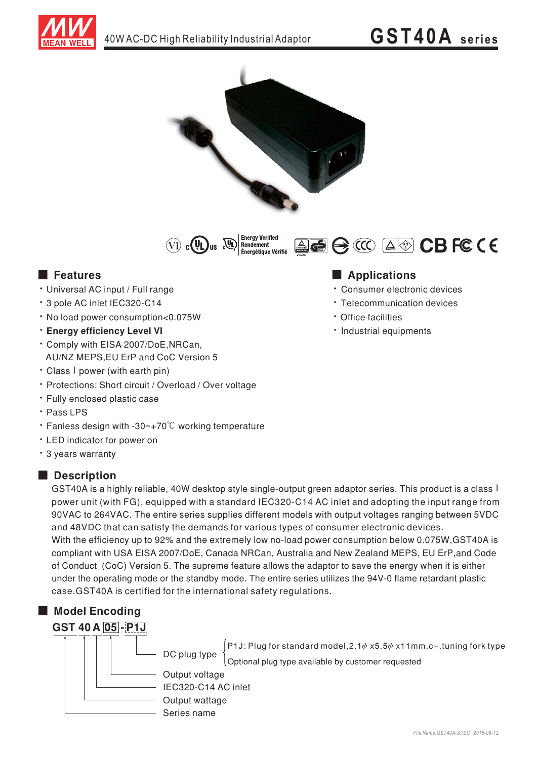



**Enerav Verifie** (VI) c (UL) us QD Rendement ................<br>Énergétique Vérifié

**E** Features

- · Universal AC input / Full range
- \* 3 pole AC inlet IEC320-C14
- . No load power consumption<0.075W
- **· Enerav efficiency Level VI**
- \* Comply with EISA 2007/DoE, NRCan, AU/NZ MEPS, EU ErP and CoC Version 5
- Class I power (with earth pin)
- \* Protections: Short circuit / Overload / Over voltage
- · Fully enclosed plastic case
- · Pass LPS
- Fanless design with -30~+70 $\degree$ C working temperature
- LED indicator for power on
- \* 3 years warranty

### Description

GST40A is a highly reliable. 40W desktop style single-output green adaptor series. This product is a class I power unit (with FG), equipped with a standard IEC320-C14 AC inlet and adopting the input range from 90VAC to 264VAC. The entire series supplies different models with output voltages ranging between 5VDC and 48VDC that can satisfy the demands for various types of consumer electronic devices. With the efficiency up to 92% and the extremely low no-load power consumption below 0.075W, GST40A is compliant with USA EISA 2007/DoE, Canada NRCan, Australia and New Zealand MEPS, EU ErP, and Code of Conduct (CoC) Version 5. The supreme feature allows the adaptor to save the energy when it is either under the operating mode or the standby mode. The entire series utilizes the 94V-0 flame retardant plastic case.GST40A is certified for the international safety regulations.

# Model Encoding



P1J: Plug for standard model,  $2.1\psi$  x5.5 $\psi$  x11mm, c+, tuning fork type DC plug type Optional plug type available by customer requested

Output voltage IEC320-C14 AC inlet Output wattage Series name



· Consumer electronic devices

ACC ACC CBFCCE

- Telecommunication devices
- · Office facilities
- · Industrial equipments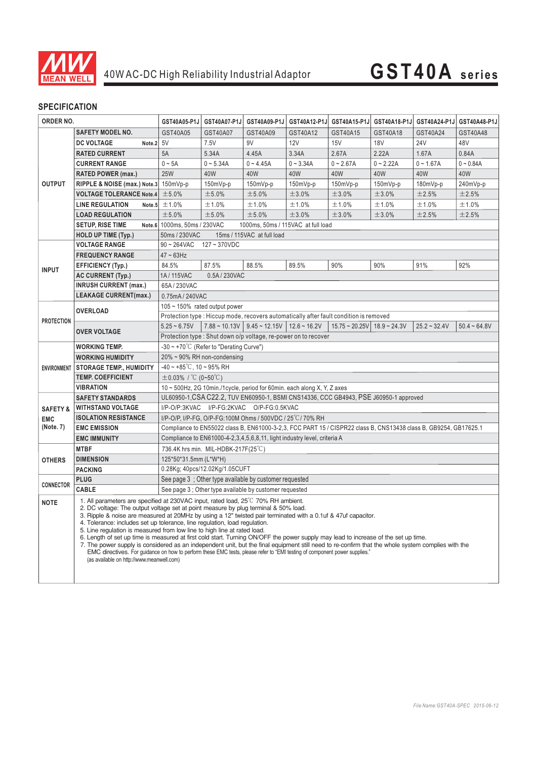

# **GST40A series**

### **SPECIFICATION**

| ORDER NO.                                      |                                                                                                                                                                                                                                                                                                                                                                                                                                                                                                                                                                                                                                                                                                                                                                                                                                                                                                                                         | GST40A05-P1J                                                                                                     | GST40A07-P1J | GST40A09-P1J                                      | GST40A12-P1J                                                                           | GST40A15-P1J        | GST40A18-P1J   |                | GST40A24-P1J GST40A48-P1J |
|------------------------------------------------|-----------------------------------------------------------------------------------------------------------------------------------------------------------------------------------------------------------------------------------------------------------------------------------------------------------------------------------------------------------------------------------------------------------------------------------------------------------------------------------------------------------------------------------------------------------------------------------------------------------------------------------------------------------------------------------------------------------------------------------------------------------------------------------------------------------------------------------------------------------------------------------------------------------------------------------------|------------------------------------------------------------------------------------------------------------------|--------------|---------------------------------------------------|----------------------------------------------------------------------------------------|---------------------|----------------|----------------|---------------------------|
| <b>OUTPUT</b>                                  | <b>SAFETY MODEL NO.</b>                                                                                                                                                                                                                                                                                                                                                                                                                                                                                                                                                                                                                                                                                                                                                                                                                                                                                                                 | GST40A05                                                                                                         | GST40A07     | GST40A09                                          | GST40A12                                                                               | GST40A15            | GST40A18       | GST40A24       | GST40A48                  |
|                                                | <b>DC VOLTAGE</b><br>Note.2                                                                                                                                                                                                                                                                                                                                                                                                                                                                                                                                                                                                                                                                                                                                                                                                                                                                                                             | 5V                                                                                                               | 7.5V         | 9V                                                | 12V                                                                                    | 15V                 | <b>18V</b>     | <b>24V</b>     | 48V                       |
|                                                | <b>RATED CURRENT</b>                                                                                                                                                                                                                                                                                                                                                                                                                                                                                                                                                                                                                                                                                                                                                                                                                                                                                                                    | 5A                                                                                                               | 5.34A        | 4.45A                                             | 3.34A                                                                                  | 2.67A               | 2.22A          | 1.67A          | 0.84A                     |
|                                                | <b>CURRENT RANGE</b>                                                                                                                                                                                                                                                                                                                                                                                                                                                                                                                                                                                                                                                                                                                                                                                                                                                                                                                    | $0 \sim 5A$                                                                                                      | $0 - 5.34A$  | $0 - 4.45A$                                       | $0 - 3.34A$                                                                            | $0 - 2.67A$         | $0 - 2.22A$    | $0 - 1.67A$    | $0 - 0.84A$               |
|                                                | <b>RATED POWER (max.)</b>                                                                                                                                                                                                                                                                                                                                                                                                                                                                                                                                                                                                                                                                                                                                                                                                                                                                                                               | <b>25W</b>                                                                                                       | 40W          | 40W                                               | 40W                                                                                    | 40W                 | 40W            | 40W            | 40W                       |
|                                                | RIPPLE & NOISE (max.) Note.3                                                                                                                                                                                                                                                                                                                                                                                                                                                                                                                                                                                                                                                                                                                                                                                                                                                                                                            | 150mVp-p                                                                                                         | 150mVp-p     | 150mVp-p                                          | 150mVp-p                                                                               | 150mVp-p            | 150mVp-p       | 180mVp-p       | 240mVp-p                  |
|                                                | <b>VOLTAGE TOLERANCE Note.4</b>                                                                                                                                                                                                                                                                                                                                                                                                                                                                                                                                                                                                                                                                                                                                                                                                                                                                                                         | ±5.0%                                                                                                            | ±5.0%        | ±5.0%                                             | ±3.0%                                                                                  | ±3.0%               | ±3.0%          | ±2.5%          | ±2.5%                     |
|                                                | <b>LINE REGULATION</b><br>Note.5                                                                                                                                                                                                                                                                                                                                                                                                                                                                                                                                                                                                                                                                                                                                                                                                                                                                                                        | ±1.0%                                                                                                            | ±1.0%        | ±1.0%                                             | ±1.0%                                                                                  | ±1.0%               | ±1.0%          | ±1.0%          | ±1.0%                     |
|                                                | <b>LOAD REGULATION</b>                                                                                                                                                                                                                                                                                                                                                                                                                                                                                                                                                                                                                                                                                                                                                                                                                                                                                                                  | ±5.0%                                                                                                            | ±5.0%        | ±5.0%                                             | ±3.0%                                                                                  | ±3.0%               | ±3.0%          | ±2.5%          | ±2.5%                     |
|                                                | <b>SETUP, RISE TIME</b>                                                                                                                                                                                                                                                                                                                                                                                                                                                                                                                                                                                                                                                                                                                                                                                                                                                                                                                 | Note.6 1000ms, 50ms / 230VAC                                                                                     |              |                                                   | 1000ms, 50ms / 115VAC at full load                                                     |                     |                |                |                           |
|                                                | <b>HOLD UP TIME (Typ.)</b>                                                                                                                                                                                                                                                                                                                                                                                                                                                                                                                                                                                                                                                                                                                                                                                                                                                                                                              | 50ms / 230VAC<br>15ms / 115VAC at full load                                                                      |              |                                                   |                                                                                        |                     |                |                |                           |
| <b>INPUT</b>                                   | <b>VOLTAGE RANGE</b>                                                                                                                                                                                                                                                                                                                                                                                                                                                                                                                                                                                                                                                                                                                                                                                                                                                                                                                    | $90 \sim 264$ VAC<br>$127 - 370$ VDC                                                                             |              |                                                   |                                                                                        |                     |                |                |                           |
|                                                | <b>FREQUENCY RANGE</b>                                                                                                                                                                                                                                                                                                                                                                                                                                                                                                                                                                                                                                                                                                                                                                                                                                                                                                                  | $47 \sim 63$ Hz                                                                                                  |              |                                                   |                                                                                        |                     |                |                |                           |
|                                                | <b>EFFICIENCY (Typ.)</b>                                                                                                                                                                                                                                                                                                                                                                                                                                                                                                                                                                                                                                                                                                                                                                                                                                                                                                                | 84.5%                                                                                                            | 87.5%        | 88.5%                                             | 89.5%                                                                                  | 90%                 | 90%            | 91%            | 92%                       |
|                                                | <b>AC CURRENT (Typ.)</b>                                                                                                                                                                                                                                                                                                                                                                                                                                                                                                                                                                                                                                                                                                                                                                                                                                                                                                                | 1A/115VAC<br>0.5A / 230VAC                                                                                       |              |                                                   |                                                                                        |                     |                |                |                           |
|                                                | <b>INRUSH CURRENT (max.)</b>                                                                                                                                                                                                                                                                                                                                                                                                                                                                                                                                                                                                                                                                                                                                                                                                                                                                                                            | 65A / 230VAC                                                                                                     |              |                                                   |                                                                                        |                     |                |                |                           |
|                                                | <b>LEAKAGE CURRENT(max.)</b>                                                                                                                                                                                                                                                                                                                                                                                                                                                                                                                                                                                                                                                                                                                                                                                                                                                                                                            | 0.75mA / 240VAC                                                                                                  |              |                                                   |                                                                                        |                     |                |                |                           |
| <b>PROTECTION</b>                              | <b>OVERLOAD</b>                                                                                                                                                                                                                                                                                                                                                                                                                                                                                                                                                                                                                                                                                                                                                                                                                                                                                                                         | $105 \sim 150\%$ rated output power                                                                              |              |                                                   |                                                                                        |                     |                |                |                           |
|                                                |                                                                                                                                                                                                                                                                                                                                                                                                                                                                                                                                                                                                                                                                                                                                                                                                                                                                                                                                         |                                                                                                                  |              |                                                   | Protection type : Hiccup mode, recovers automatically after fault condition is removed |                     |                |                |                           |
|                                                | <b>OVER VOLTAGE</b>                                                                                                                                                                                                                                                                                                                                                                                                                                                                                                                                                                                                                                                                                                                                                                                                                                                                                                                     | $5.25 - 6.75V$                                                                                                   |              | $7.88 \sim 10.13V$   9.45 ~ 12.15V   12.6 ~ 16.2V |                                                                                        | $15.75 \sim 20.25V$ | $18.9 - 24.3V$ | $25.2 - 32.4V$ | $50.4 - 64.8V$            |
|                                                |                                                                                                                                                                                                                                                                                                                                                                                                                                                                                                                                                                                                                                                                                                                                                                                                                                                                                                                                         |                                                                                                                  |              |                                                   | Protection type : Shut down o/p voltage, re-power on to recover                        |                     |                |                |                           |
| <b>ENVIRONMENT</b>                             | <b>WORKING TEMP.</b>                                                                                                                                                                                                                                                                                                                                                                                                                                                                                                                                                                                                                                                                                                                                                                                                                                                                                                                    | $-30 \sim +70^{\circ}$ (Refer to "Derating Curve")                                                               |              |                                                   |                                                                                        |                     |                |                |                           |
|                                                | <b>WORKING HUMIDITY</b>                                                                                                                                                                                                                                                                                                                                                                                                                                                                                                                                                                                                                                                                                                                                                                                                                                                                                                                 | 20% ~ 90% RH non-condensing                                                                                      |              |                                                   |                                                                                        |                     |                |                |                           |
|                                                | <b>STORAGE TEMP., HUMIDITY</b>                                                                                                                                                                                                                                                                                                                                                                                                                                                                                                                                                                                                                                                                                                                                                                                                                                                                                                          | $-40 \sim +85^{\circ}$ C, 10 ~ 95% RH                                                                            |              |                                                   |                                                                                        |                     |                |                |                           |
|                                                | <b>TEMP. COEFFICIENT</b>                                                                                                                                                                                                                                                                                                                                                                                                                                                                                                                                                                                                                                                                                                                                                                                                                                                                                                                | $\pm$ 0.03% / °C (0~50°C)                                                                                        |              |                                                   |                                                                                        |                     |                |                |                           |
|                                                | <b>VIBRATION</b>                                                                                                                                                                                                                                                                                                                                                                                                                                                                                                                                                                                                                                                                                                                                                                                                                                                                                                                        | 10 ~ 500Hz, 2G 10min./1cycle, period for 60min. each along X, Y, Z axes                                          |              |                                                   |                                                                                        |                     |                |                |                           |
| <b>SAFETY &amp;</b><br><b>EMC</b><br>(Note. 7) | <b>SAFETY STANDARDS</b>                                                                                                                                                                                                                                                                                                                                                                                                                                                                                                                                                                                                                                                                                                                                                                                                                                                                                                                 | UL60950-1, CSA C22.2, TUV EN60950-1, BSMI CNS14336, CCC GB4943, PSE J60950-1 approved                            |              |                                                   |                                                                                        |                     |                |                |                           |
|                                                | <b>WITHSTAND VOLTAGE</b>                                                                                                                                                                                                                                                                                                                                                                                                                                                                                                                                                                                                                                                                                                                                                                                                                                                                                                                | I/P-O/P:3KVAC I/P-FG:2KVAC O/P-FG:0.5KVAC                                                                        |              |                                                   |                                                                                        |                     |                |                |                           |
|                                                | <b>ISOLATION RESISTANCE</b>                                                                                                                                                                                                                                                                                                                                                                                                                                                                                                                                                                                                                                                                                                                                                                                                                                                                                                             | I/P-O/P, I/P-FG, O/P-FG:100M Ohms / 500VDC / 25 °C / 70% RH                                                      |              |                                                   |                                                                                        |                     |                |                |                           |
|                                                | <b>EMC EMISSION</b>                                                                                                                                                                                                                                                                                                                                                                                                                                                                                                                                                                                                                                                                                                                                                                                                                                                                                                                     | Compliance to EN55022 class B, EN61000-3-2,3, FCC PART 15 / CISPR22 class B, CNS13438 class B, GB9254, GB17625.1 |              |                                                   |                                                                                        |                     |                |                |                           |
|                                                | <b>EMC IMMUNITY</b>                                                                                                                                                                                                                                                                                                                                                                                                                                                                                                                                                                                                                                                                                                                                                                                                                                                                                                                     | Compliance to EN61000-4-2,3,4,5,6,8,11, light industry level, criteria A                                         |              |                                                   |                                                                                        |                     |                |                |                           |
| <b>OTHERS</b>                                  | <b>MTBF</b>                                                                                                                                                                                                                                                                                                                                                                                                                                                                                                                                                                                                                                                                                                                                                                                                                                                                                                                             | 736.4K hrs min. MIL-HDBK-217F(25 $\degree$ C)                                                                    |              |                                                   |                                                                                        |                     |                |                |                           |
|                                                | <b>DIMENSION</b>                                                                                                                                                                                                                                                                                                                                                                                                                                                                                                                                                                                                                                                                                                                                                                                                                                                                                                                        | 125*50*31.5mm (L*W*H)                                                                                            |              |                                                   |                                                                                        |                     |                |                |                           |
|                                                | <b>PACKING</b>                                                                                                                                                                                                                                                                                                                                                                                                                                                                                                                                                                                                                                                                                                                                                                                                                                                                                                                          | 0.28Kg; 40pcs/12.02Kg/1.05CUFT<br>See page 3 : Other type available by customer requested                        |              |                                                   |                                                                                        |                     |                |                |                           |
| CONNECTOR                                      | <b>PLUG</b>                                                                                                                                                                                                                                                                                                                                                                                                                                                                                                                                                                                                                                                                                                                                                                                                                                                                                                                             |                                                                                                                  |              |                                                   |                                                                                        |                     |                |                |                           |
|                                                | CABLE                                                                                                                                                                                                                                                                                                                                                                                                                                                                                                                                                                                                                                                                                                                                                                                                                                                                                                                                   | See page 3 ; Other type available by customer requested                                                          |              |                                                   |                                                                                        |                     |                |                |                           |
| <b>NOTE</b>                                    | 1. All parameters are specified at 230VAC input, rated load, 25 <sup>°</sup> C 70% RH ambient.<br>2. DC voltage: The output voltage set at point measure by plug terminal & 50% load.<br>3. Ripple & noise are measured at 20MHz by using a 12" twisted pair terminated with a 0.1uf & 47uf capacitor.<br>4. Tolerance: includes set up tolerance, line regulation, load regulation.<br>5. Line regulation is measured from low line to high line at rated load.<br>6. Length of set up time is measured at first cold start. Turning ON/OFF the power supply may lead to increase of the set up time.<br>7. The power supply is considered as an independent unit, but the final equipment still need to re-confirm that the whole system complies with the<br>EMC directives. For quidance on how to perform these EMC tests, please refer to "EMI testing of component power supplies."<br>(as available on http://www.meanwell.com) |                                                                                                                  |              |                                                   |                                                                                        |                     |                |                |                           |